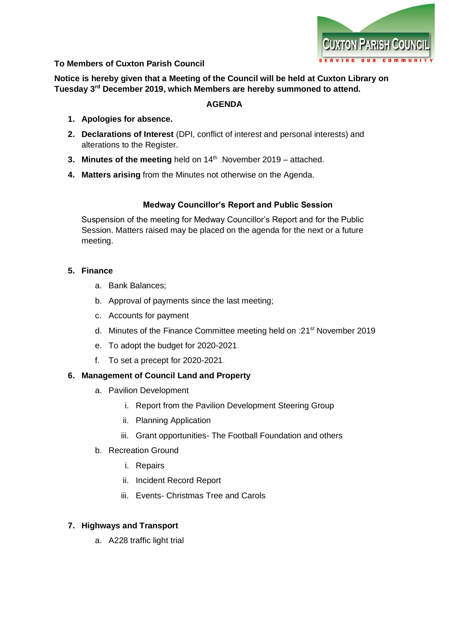

## **To Members of Cuxton Parish Council**

**Notice is hereby given that a Meeting of the Council will be held at Cuxton Library on Tuesday 3 rd December 2019, which Members are hereby summoned to attend.**

## **AGENDA**

- **1. Apologies for absence.**
- **2. Declarations of Interest** (DPI, conflict of interest and personal interests) and alterations to the Register.
- **3. Minutes of the meeting** held on 14<sup>th</sup> November 2019 attached.
- **4. Matters arising** from the Minutes not otherwise on the Agenda.

## **Medway Councillor's Report and Public Session**

Suspension of the meeting for Medway Councillor's Report and for the Public Session. Matters raised may be placed on the agenda for the next or a future meeting.

## **5. Finance**

- a. Bank Balances;
- b. Approval of payments since the last meeting;
- c. Accounts for payment
- d. Minutes of the Finance Committee meeting held on :21st November 2019
- e. To adopt the budget for 2020-2021.
- f. To set a precept for 2020-2021.

#### **6. Management of Council Land and Property**

- a. Pavilion Development
	- i. Report from the Pavilion Development Steering Group
	- ii. Planning Application
	- iii. Grant opportunities- The Football Foundation and others
- b. Recreation Ground
	- i. Repairs
	- ii. Incident Record Report
	- iii. Events- Christmas Tree and Carols

# **7. Highways and Transport**

a. A228 traffic light trial